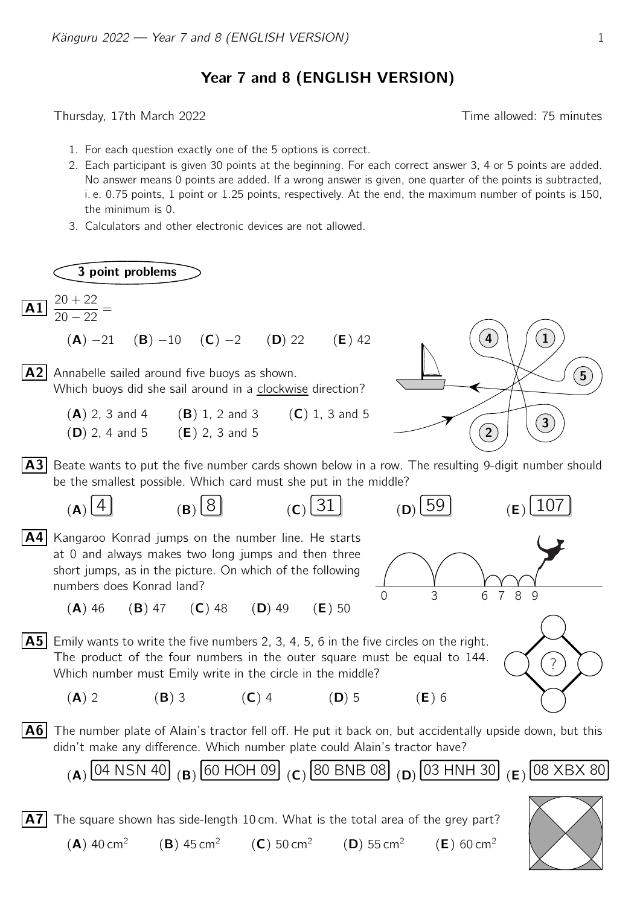Year 7 and 8 (ENGLISH VERSION)

Thursday, 17th March 2022 **Thursday**, 17th March 2022

- 1. For each question exactly one of the 5 options is correct.
- 2. Each participant is given 30 points at the beginning. For each correct answer 3, 4 or 5 points are added. No answer means 0 points are added. If a wrong answer is given, one quarter of the points is subtracted, i. e. 0.75 points, 1 point or 1.25 points, respectively. At the end, the maximum number of points is 150, the minimum is 0.
- 3. Calculators and other electronic devices are not allowed.

3 point problems  $\overline{A1}$   $\frac{20 + 22}{\overline{A1}}$  $\frac{20 + 22}{20 - 22} =$  $(A) -21$   $(B) -10$   $(C) -2$   $(D) 22$   $(E) 42$ **A2** Annabelle sailed around five buoys as shown.  $\begin{picture}(5,6) \put(0,0){\line(1,0){155}} \put(1,0){\line(1,0){155}} \put(1,0){\line(1,0){155}} \put(1,0){\line(1,0){155}} \put(1,0){\line(1,0){155}} \put(1,0){\line(1,0){155}} \put(1,0){\line(1,0){155}} \put(1,0){\line(1,0){155}} \put(1,0){\line(1,0){155$ 1  $\mathbf{2}^{\mathbf{2}}$  $\mathbf{3}$ 4 Which buoys did she sail around in a clockwise direction? (A) 2, 3 and 4 (B) 1, 2 and 3 (C) 1, 3 and 5 (D) 2, 4 and 5 (E) 2, 3 and 5 A3 Beate wants to put the five number cards shown below in a row. The resulting 9-digit number should be the smallest possible. Which card must she put in the middle? (**A**)  $\overline{4}$  (**B**)  $\overline{8}$  (**C**)  $\overline{31}$  (**D**)  $\overline{59}$  (**E**)  $\overline{107}$ A4 Kangaroo Konrad jumps on the number line. He starts 0 3 6 7 8 9 at 0 and always makes two long jumps and then three short jumps, as in the picture. On which of the following numbers does Konrad land?  $(A)$  46 (B) 47 (C) 48 (D) 49 (E) 50  $\overline{A5}$  Emily wants to write the five numbers 2, 3, 4, 5, 6 in the five circles on the right. ? The product of the four numbers in the outer square must be equal to 144. Which number must Emily write in the circle in the middle? (A) 2 (B) 3 (C) 4 (D) 5 (E) 6 A6 The number plate of Alain's tractor fell off. He put it back on, but accidentally upside down, but this didn't make any difference. Which number plate could Alain's tractor have? (A)  $[04$  NSN 40 (B)  $[60$  HOH 09 (C)  $[80$  BNB 08 (D)  $[03$  HNH 30 (E)  $[08$  XBX 80  $|\overline{A7}|$  The square shown has side-length 10 cm. What is the total area of the grey part?

(A) 40 cm<sup>2</sup> (B) 45 cm<sup>2</sup> (C) 50 cm<sup>2</sup> (D) 55 cm<sup>2</sup> (E) 60 cm<sup>2</sup>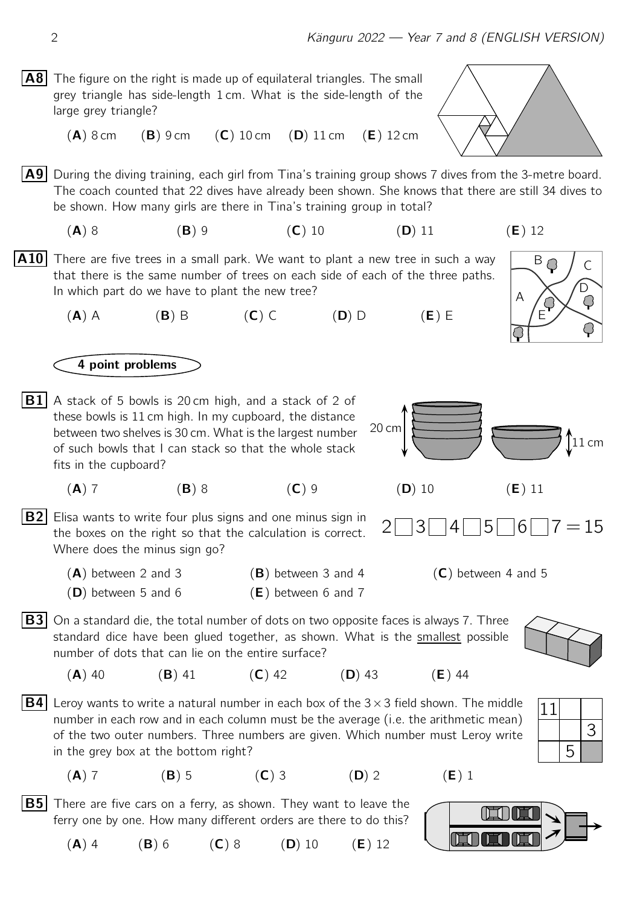- **A8** The figure on the right is made up of equilateral triangles. The small grey triangle has side-length 1 cm. What is the side-length of the large grey triangle?
	- $(A)$  8 cm  $(B)$  9 cm  $(C)$  10 cm  $(D)$  11 cm  $(E)$  12 cm

**A9** During the diving training, each girl from Tina's training group shows 7 dives from the 3-metre board. The coach counted that 22 dives have already been shown. She knows that there are still 34 dives to be shown. How many girls are there in Tina's training group in total?

(A) 8 (B) 9 (C) 10 (D) 11 (E) 12

**A10** There are five trees in a small park. We want to plant a new tree in such a way that there is the same number of trees on each side of each of the three paths. In which part do we have to plant the new tree?

 $(A)$  A (B) B (C) C (D) D (E) E

## 4 point problems

 $\overline{B1}$  A stack of 5 bowls is 20 cm high, and a stack of 2 of these bowls is 11 cm high. In my cupboard, the distance between two shelves is 30 cm. What is the largest number of such bowls that I can stack so that the whole stack fits in the cupboard?

(A) 7 (B) 8 (C) 9 (D) 10 (E) 11

**B2** Elisa wants to write four plus signs and one minus sign in  $2 \square 3 \square 4 \square 5 \square 6 \square 7 = 15$ the boxes on the right so that the calculation is correct. Where does the minus sign go?

 $(A)$  between 2 and 3 (B) between 3 and 4 (C) between 4 and 5  $(D)$  between 5 and 6  $(E)$  between 6 and 7

 $|\mathbf{B3}|$  On a standard die, the total number of dots on two opposite faces is always 7. Three standard dice have been glued together, as shown. What is the smallest possible number of dots that can lie on the entire surface?

(**A**) 40 (**B**) 41 (**C**) 42 (**D**) 43 (**E**) 44

- **B4** Leroy wants to write a natural number in each box of the 3×3 field shown. The middle  $\boxed{11}$ number in each row and in each column must be the average (i.e. the arithmetic mean) of the two outer numbers. Three numbers are given. Which number must Leroy write in the grey box at the bottom right?
	-

**B5** There are five cars on a ferry, as shown. They want to leave the ferry one by one. How many different orders are there to do this?

(A) 4 (B) 6 (C) 8 (D) 10 (E) 12

$$
20 \text{ cm}
$$



**FT IT IT** 

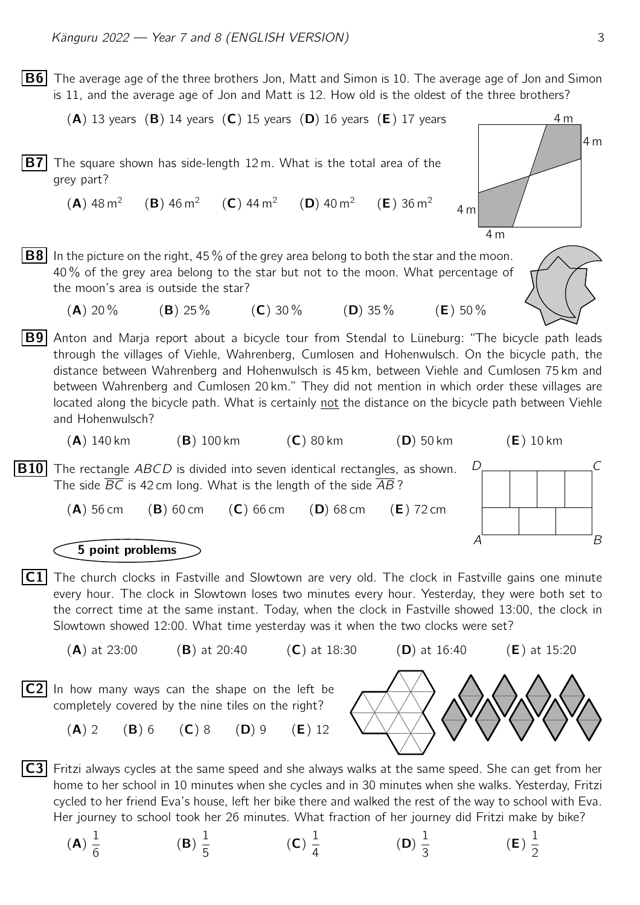$|B6|$  The average age of the three brothers Jon, Matt and Simon is 10. The average age of Jon and Simon is 11, and the average age of Jon and Matt is 12. How old is the oldest of the three brothers?

```
(A) 13 years (B) 14 years (C) 15 years (D) 16 years (E) 17 years
B7 The square shown has side-length 12 m. What is the total area of the
                                                                                                               4 m
                                                                                          4 m
     grey part?
        (A) 48 m<sup>2</sup>
                         (B) 46 m<sup>2</sup> (C) 44 m<sup>2</sup> (D) 40 m<sup>2</sup>
                                                                        (E) 36 m<sup>2</sup>
```
- **B8** In the picture on the right, 45 % of the grey area belong to both the star and the moon. 40 % of the grey area belong to the star but not to the moon. What percentage of the moon's area is outside the star?
	- (A) 20 % (B) 25 % (C) 30 % (D) 35 % (E) 50 %
- **B9** Anton and Marja report about a bicycle tour from Stendal to Lüneburg: "The bicycle path leads through the villages of Viehle, Wahrenberg, Cumlosen and Hohenwulsch. On the bicycle path, the distance between Wahrenberg and Hohenwulsch is 45 km, between Viehle and Cumlosen 75 km and between Wahrenberg and Cumlosen 20 km." They did not mention in which order these villages are located along the bicycle path. What is certainly not the distance on the bicycle path between Viehle and Hohenwulsch?
	- $(A)$  140 km  $(B)$  100 km  $(C)$  80 km  $(D)$  50 km  $(E)$  10 km

**B10** The rectangle ABCD is divided into seven identical rectangles, as shown.  $D_{\text{max}} = \frac{D}{D}$ The side BC is 42 cm long. What is the length of the side AB?

 $(A)$  56 cm  $(B)$  60 cm  $(C)$  66 cm  $(D)$  68 cm  $(E)$  72 cm

## 5 point problems

- $|C1|$  The church clocks in Fastville and Slowtown are very old. The clock in Fastville gains one minute every hour. The clock in Slowtown loses two minutes every hour. Yesterday, they were both set to the correct time at the same instant. Today, when the clock in Fastville showed 13:00, the clock in Slowtown showed 12:00. What time yesterday was it when the two clocks were set?
- (A) at 23:00 (B) at 20:40 (C) at 18:30 (D) at 16:40 (E) at 15:20  $|C2|$  In how many ways can the shape on the left be completely covered by the nine tiles on the right?

(A) 2 (B) 6 (C) 8 (D) 9 (E) 12

**C3** Fritzi always cycles at the same speed and she always walks at the same speed. She can get from her home to her school in 10 minutes when she cycles and in 30 minutes when she walks. Yesterday, Fritzi cycled to her friend Eva's house, left her bike there and walked the rest of the way to school with Eva. Her journey to school took her 26 minutes. What fraction of her journey did Fritzi make by bike?

(A) 1 6 (B) 1 5 (C) 1 4 (D) 1 3 (E) 1 2 4 m

4 m

 $A \stackrel{\sim}{\longrightarrow} B$